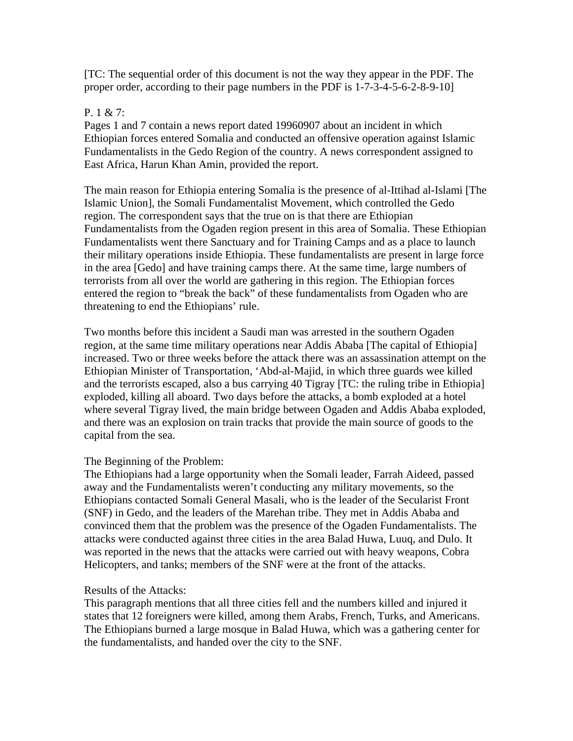[TC: The sequential order of this document is not the way they appear in the PDF. The proper order, according to their page numbers in the PDF is 1-7-3-4-5-6-2-8-9-10]

### P. 1 & 7:

Pages 1 and 7 contain a news report dated 19960907 about an incident in which Ethiopian forces entered Somalia and conducted an offensive operation against Islamic Fundamentalists in the Gedo Region of the country. A news correspondent assigned to East Africa, Harun Khan Amin, provided the report.

The main reason for Ethiopia entering Somalia is the presence of al-Ittihad al-Islami [The Islamic Union], the Somali Fundamentalist Movement, which controlled the Gedo region. The correspondent says that the true on is that there are Ethiopian Fundamentalists from the Ogaden region present in this area of Somalia. These Ethiopian Fundamentalists went there Sanctuary and for Training Camps and as a place to launch their military operations inside Ethiopia. These fundamentalists are present in large force in the area [Gedo] and have training camps there. At the same time, large numbers of terrorists from all over the world are gathering in this region. The Ethiopian forces entered the region to "break the back" of these fundamentalists from Ogaden who are threatening to end the Ethiopians' rule.

Two months before this incident a Saudi man was arrested in the southern Ogaden region, at the same time military operations near Addis Ababa [The capital of Ethiopia] increased. Two or three weeks before the attack there was an assassination attempt on the Ethiopian Minister of Transportation, 'Abd-al-Majid, in which three guards wee killed and the terrorists escaped, also a bus carrying 40 Tigray [TC: the ruling tribe in Ethiopia] exploded, killing all aboard. Two days before the attacks, a bomb exploded at a hotel where several Tigray lived, the main bridge between Ogaden and Addis Ababa exploded, and there was an explosion on train tracks that provide the main source of goods to the capital from the sea.

#### The Beginning of the Problem:

The Ethiopians had a large opportunity when the Somali leader, Farrah Aideed, passed away and the Fundamentalists weren't conducting any military movements, so the Ethiopians contacted Somali General Masali, who is the leader of the Secularist Front (SNF) in Gedo, and the leaders of the Marehan tribe. They met in Addis Ababa and convinced them that the problem was the presence of the Ogaden Fundamentalists. The attacks were conducted against three cities in the area Balad Huwa, Luuq, and Dulo. It was reported in the news that the attacks were carried out with heavy weapons, Cobra Helicopters, and tanks; members of the SNF were at the front of the attacks.

#### Results of the Attacks:

This paragraph mentions that all three cities fell and the numbers killed and injured it states that 12 foreigners were killed, among them Arabs, French, Turks, and Americans. The Ethiopians burned a large mosque in Balad Huwa, which was a gathering center for the fundamentalists, and handed over the city to the SNF.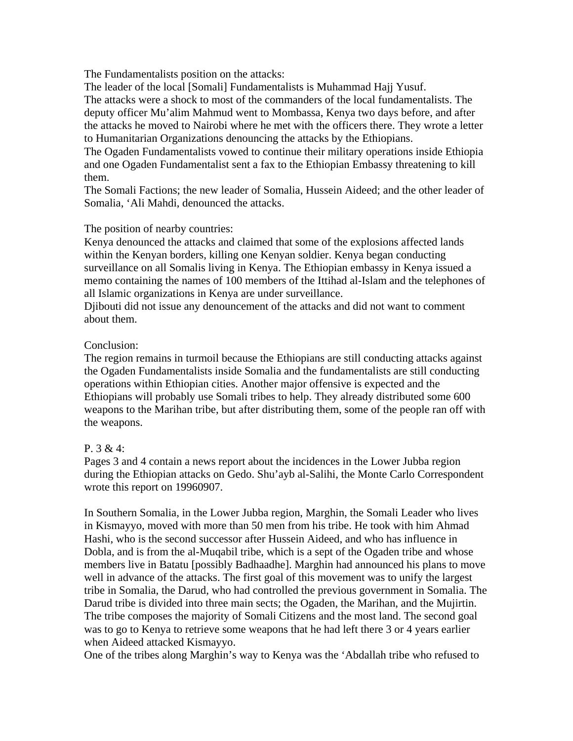The Fundamentalists position on the attacks:

The leader of the local [Somali] Fundamentalists is Muhammad Hajj Yusuf.

The attacks were a shock to most of the commanders of the local fundamentalists. The deputy officer Mu'alim Mahmud went to Mombassa, Kenya two days before, and after the attacks he moved to Nairobi where he met with the officers there. They wrote a letter to Humanitarian Organizations denouncing the attacks by the Ethiopians.

The Ogaden Fundamentalists vowed to continue their military operations inside Ethiopia and one Ogaden Fundamentalist sent a fax to the Ethiopian Embassy threatening to kill them.

The Somali Factions; the new leader of Somalia, Hussein Aideed; and the other leader of Somalia, 'Ali Mahdi, denounced the attacks.

#### The position of nearby countries:

Kenya denounced the attacks and claimed that some of the explosions affected lands within the Kenyan borders, killing one Kenyan soldier. Kenya began conducting surveillance on all Somalis living in Kenya. The Ethiopian embassy in Kenya issued a memo containing the names of 100 members of the Ittihad al-Islam and the telephones of all Islamic organizations in Kenya are under surveillance.

Djibouti did not issue any denouncement of the attacks and did not want to comment about them.

#### Conclusion:

The region remains in turmoil because the Ethiopians are still conducting attacks against the Ogaden Fundamentalists inside Somalia and the fundamentalists are still conducting operations within Ethiopian cities. Another major offensive is expected and the Ethiopians will probably use Somali tribes to help. They already distributed some 600 weapons to the Marihan tribe, but after distributing them, some of the people ran off with the weapons.

#### P. 3 & 4:

Pages 3 and 4 contain a news report about the incidences in the Lower Jubba region during the Ethiopian attacks on Gedo. Shu'ayb al-Salihi, the Monte Carlo Correspondent wrote this report on 19960907.

In Southern Somalia, in the Lower Jubba region, Marghin, the Somali Leader who lives in Kismayyo, moved with more than 50 men from his tribe. He took with him Ahmad Hashi, who is the second successor after Hussein Aideed, and who has influence in Dobla, and is from the al-Muqabil tribe, which is a sept of the Ogaden tribe and whose members live in Batatu [possibly Badhaadhe]. Marghin had announced his plans to move well in advance of the attacks. The first goal of this movement was to unify the largest tribe in Somalia, the Darud, who had controlled the previous government in Somalia. The Darud tribe is divided into three main sects; the Ogaden, the Marihan, and the Mujirtin. The tribe composes the majority of Somali Citizens and the most land. The second goal was to go to Kenya to retrieve some weapons that he had left there 3 or 4 years earlier when Aideed attacked Kismayyo.

One of the tribes along Marghin's way to Kenya was the 'Abdallah tribe who refused to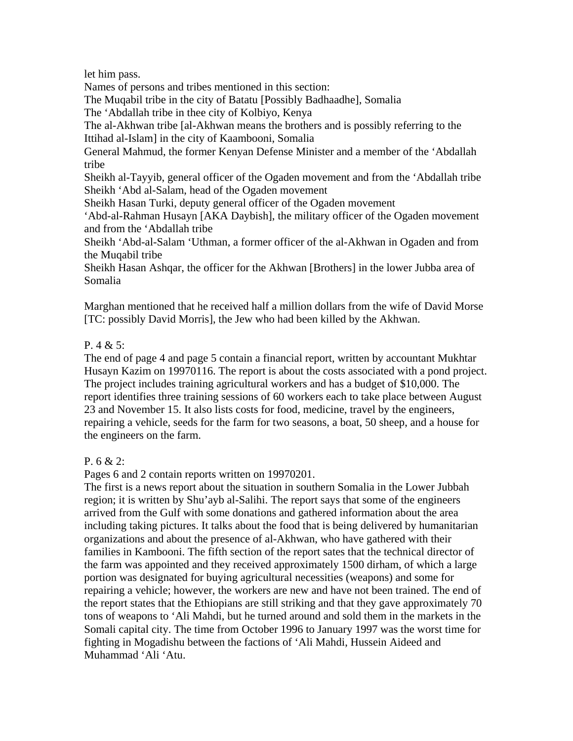let him pass.

Names of persons and tribes mentioned in this section:

The Muqabil tribe in the city of Batatu [Possibly Badhaadhe], Somalia

The 'Abdallah tribe in thee city of Kolbiyo, Kenya

The al-Akhwan tribe [al-Akhwan means the brothers and is possibly referring to the Ittihad al-Islam] in the city of Kaambooni, Somalia

General Mahmud, the former Kenyan Defense Minister and a member of the 'Abdallah tribe

Sheikh al-Tayyib, general officer of the Ogaden movement and from the 'Abdallah tribe Sheikh 'Abd al-Salam, head of the Ogaden movement

Sheikh Hasan Turki, deputy general officer of the Ogaden movement

'Abd-al-Rahman Husayn [AKA Daybish], the military officer of the Ogaden movement and from the 'Abdallah tribe

Sheikh 'Abd-al-Salam 'Uthman, a former officer of the al-Akhwan in Ogaden and from the Muqabil tribe

Sheikh Hasan Ashqar, the officer for the Akhwan [Brothers] in the lower Jubba area of Somalia

Marghan mentioned that he received half a million dollars from the wife of David Morse [TC: possibly David Morris], the Jew who had been killed by the Akhwan.

## P. 4 & 5:

The end of page 4 and page 5 contain a financial report, written by accountant Mukhtar Husayn Kazim on 19970116. The report is about the costs associated with a pond project. The project includes training agricultural workers and has a budget of \$10,000. The report identifies three training sessions of 60 workers each to take place between August 23 and November 15. It also lists costs for food, medicine, travel by the engineers, repairing a vehicle, seeds for the farm for two seasons, a boat, 50 sheep, and a house for the engineers on the farm.

# P. 6 & 2:

Pages 6 and 2 contain reports written on 19970201.

The first is a news report about the situation in southern Somalia in the Lower Jubbah region; it is written by Shu'ayb al-Salihi. The report says that some of the engineers arrived from the Gulf with some donations and gathered information about the area including taking pictures. It talks about the food that is being delivered by humanitarian organizations and about the presence of al-Akhwan, who have gathered with their families in Kambooni. The fifth section of the report sates that the technical director of the farm was appointed and they received approximately 1500 dirham, of which a large portion was designated for buying agricultural necessities (weapons) and some for repairing a vehicle; however, the workers are new and have not been trained. The end of the report states that the Ethiopians are still striking and that they gave approximately 70 tons of weapons to 'Ali Mahdi, but he turned around and sold them in the markets in the Somali capital city. The time from October 1996 to January 1997 was the worst time for fighting in Mogadishu between the factions of 'Ali Mahdi, Hussein Aideed and Muhammad 'Ali 'Atu.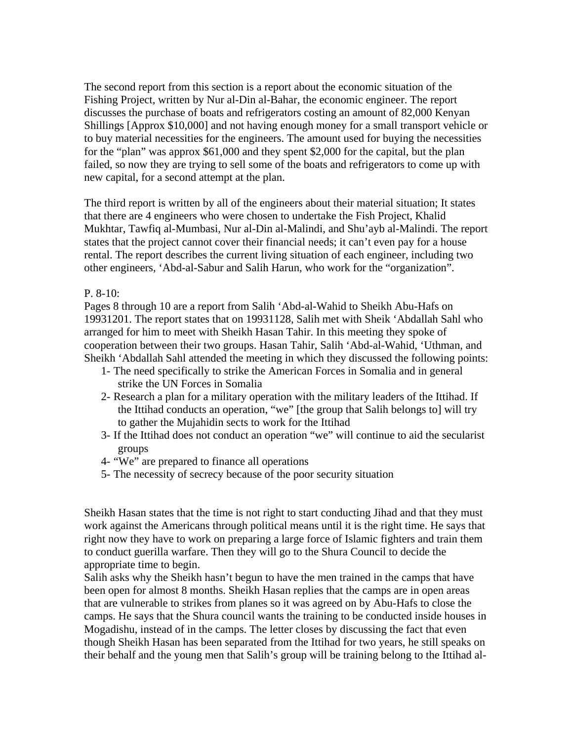The second report from this section is a report about the economic situation of the Fishing Project, written by Nur al-Din al-Bahar, the economic engineer. The report discusses the purchase of boats and refrigerators costing an amount of 82,000 Kenyan Shillings [Approx \$10,000] and not having enough money for a small transport vehicle or to buy material necessities for the engineers. The amount used for buying the necessities for the "plan" was approx \$61,000 and they spent \$2,000 for the capital, but the plan failed, so now they are trying to sell some of the boats and refrigerators to come up with new capital, for a second attempt at the plan.

The third report is written by all of the engineers about their material situation; It states that there are 4 engineers who were chosen to undertake the Fish Project, Khalid Mukhtar, Tawfiq al-Mumbasi, Nur al-Din al-Malindi, and Shu'ayb al-Malindi. The report states that the project cannot cover their financial needs; it can't even pay for a house rental. The report describes the current living situation of each engineer, including two other engineers, 'Abd-al-Sabur and Salih Harun, who work for the "organization".

#### P. 8-10:

Pages 8 through 10 are a report from Salih 'Abd-al-Wahid to Sheikh Abu-Hafs on 19931201. The report states that on 19931128, Salih met with Sheik 'Abdallah Sahl who arranged for him to meet with Sheikh Hasan Tahir. In this meeting they spoke of cooperation between their two groups. Hasan Tahir, Salih 'Abd-al-Wahid, 'Uthman, and Sheikh 'Abdallah Sahl attended the meeting in which they discussed the following points:

- 1- The need specifically to strike the American Forces in Somalia and in general strike the UN Forces in Somalia
- 2- Research a plan for a military operation with the military leaders of the Ittihad. If the Ittihad conducts an operation, "we" [the group that Salih belongs to] will try to gather the Mujahidin sects to work for the Ittihad
- 3- If the Ittihad does not conduct an operation "we" will continue to aid the secularist groups
- 4- "We" are prepared to finance all operations
- 5- The necessity of secrecy because of the poor security situation

Sheikh Hasan states that the time is not right to start conducting Jihad and that they must work against the Americans through political means until it is the right time. He says that right now they have to work on preparing a large force of Islamic fighters and train them to conduct guerilla warfare. Then they will go to the Shura Council to decide the appropriate time to begin.

Salih asks why the Sheikh hasn't begun to have the men trained in the camps that have been open for almost 8 months. Sheikh Hasan replies that the camps are in open areas that are vulnerable to strikes from planes so it was agreed on by Abu-Hafs to close the camps. He says that the Shura council wants the training to be conducted inside houses in Mogadishu, instead of in the camps. The letter closes by discussing the fact that even though Sheikh Hasan has been separated from the Ittihad for two years, he still speaks on their behalf and the young men that Salih's group will be training belong to the Ittihad al